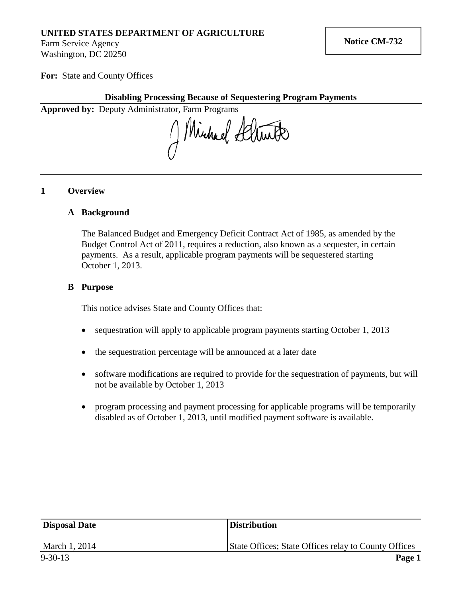# **UNITED STATES DEPARTMENT OF AGRICULTURE**

Farm Service Agency Washington, DC 20250

**For:** State and County Offices

# **Disabling Processing Because of Sequestering Program Payments**

**Approved by:** Deputy Administrator, Farm Programs

Windhal Seltier

## **1 Overview**

### **A Background**

The Balanced Budget and Emergency Deficit Contract Act of 1985, as amended by the Budget Control Act of 2011, requires a reduction, also known as a sequester, in certain payments. As a result, applicable program payments will be sequestered starting October 1, 2013.

## **B Purpose**

This notice advises State and County Offices that:

- sequestration will apply to applicable program payments starting October 1, 2013
- the sequestration percentage will be announced at a later date
- software modifications are required to provide for the sequestration of payments, but will not be available by October 1, 2013
- program processing and payment processing for applicable programs will be temporarily disabled as of October 1, 2013, until modified payment software is available.

| <b>Disposal Date</b> | <b>Distribution</b>                                  |
|----------------------|------------------------------------------------------|
| March 1, 2014        | State Offices; State Offices relay to County Offices |
| $9 - 30 - 13$        | Page 1                                               |